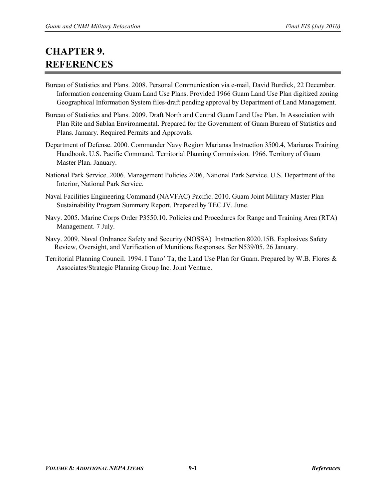## **CHAPTER 9. REFERENCES**

- Bureau of Statistics and Plans. 2008. Personal Communication via e-mail, David Burdick, 22 December. Information concerning Guam Land Use Plans. Provided 1966 Guam Land Use Plan digitized zoning Geographical Information System files-draft pending approval by Department of Land Management.
- Bureau of Statistics and Plans. 2009. Draft North and Central Guam Land Use Plan. In Association with Plan Rite and Sablan Environmental. Prepared for the Government of Guam Bureau of Statistics and Plans. January. Required Permits and Approvals.
- Department of Defense. 2000. Commander Navy Region Marianas Instruction 3500.4, Marianas Training Handbook. U.S. Pacific Command. Territorial Planning Commission. 1966. Territory of Guam Master Plan. January.
- National Park Service. 2006. Management Policies 2006, National Park Service. U.S. Department of the Interior, National Park Service.
- Naval Facilities Engineering Command (NAVFAC) Pacific. 2010. Guam Joint Military Master Plan Sustainability Program Summary Report. Prepared by TEC JV. June.
- Navy. 2005. Marine Corps Order P3550.10. Policies and Procedures for Range and Training Area (RTA) Management. 7 July.
- Navy. 2009. Naval Ordnance Safety and Security (NOSSA) Instruction 8020.15B. Explosives Safety Review, Oversight, and Verification of Munitions Responses. Ser N539/05. 26 January.
- Territorial Planning Council. 1994. I Tano' Ta, the Land Use Plan for Guam. Prepared by W.B. Flores & Associates/Strategic Planning Group Inc. Joint Venture.